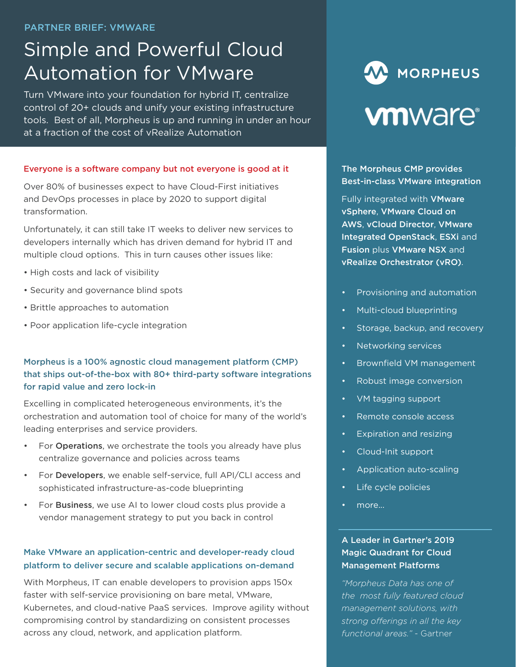#### PARTNER BRIEF: VMWARE

# Simple and Powerful Cloud Automation for VMware

Turn VMware into your foundation for hybrid IT, centralize control of 20+ clouds and unify your existing infrastructure tools. Best of all, Morpheus is up and running in under an hour at a fraction of the cost of vRealize Automation

#### Everyone is a software company but not everyone is good at it

Over 80% of businesses expect to have Cloud-First initiatives and DevOps processes in place by 2020 to support digital transformation.

Unfortunately, it can still take IT weeks to deliver new services to developers internally which has driven demand for hybrid IT and multiple cloud options. This in turn causes other issues like:

- High costs and lack of visibility
- Security and governance blind spots
- Brittle approaches to automation
- Poor application life-cycle integration

### Morpheus is a 100% agnostic cloud management platform (CMP) that ships out-of-the-box with 80+ third-party software integrations for rapid value and zero lock-in

Excelling in complicated heterogeneous environments, it's the orchestration and automation tool of choice for many of the world's leading enterprises and service providers.

- For Operations, we orchestrate the tools you already have plus centralize governance and policies across teams
- For Developers, we enable self-service, full API/CLI access and sophisticated infrastructure-as-code blueprinting
- For Business, we use AI to lower cloud costs plus provide a vendor management strategy to put you back in control

#### Make VMware an application-centric and developer-ready cloud platform to deliver secure and scalable applications on-demand

With Morpheus, IT can enable developers to provision apps 150x faster with self-service provisioning on bare metal, VMware, Kubernetes, and cloud-native PaaS services. Improve agility without compromising control by standardizing on consistent processes across any cloud, network, and application platform.

# W MORPHEUS **vm**ware<sup>®</sup>

The Morpheus CMP provides Best-in-class VMware integration

Fully integrated with VMware vSphere, VMware Cloud on AWS, vCloud Director, VMware Integrated OpenStack, ESXi and Fusion plus VMware NSX and vRealize Orchestrator (vRO).

- Provisioning and automation
- Multi-cloud blueprinting
- Storage, backup, and recovery
- Networking services
- Brownfield VM management
- Robust image conversion
- VM tagging support
- Remote console access
- Expiration and resizing
- Cloud-Init support
- Application auto-scaling
- Life cycle policies
- more...

#### A Leader in Gartner's 2019 Magic Quadrant for Cloud Management Platforms

*"Morpheus Data has one of the most fully featured cloud management solutions, with strong offerings in all the key functional areas."* - Gartner